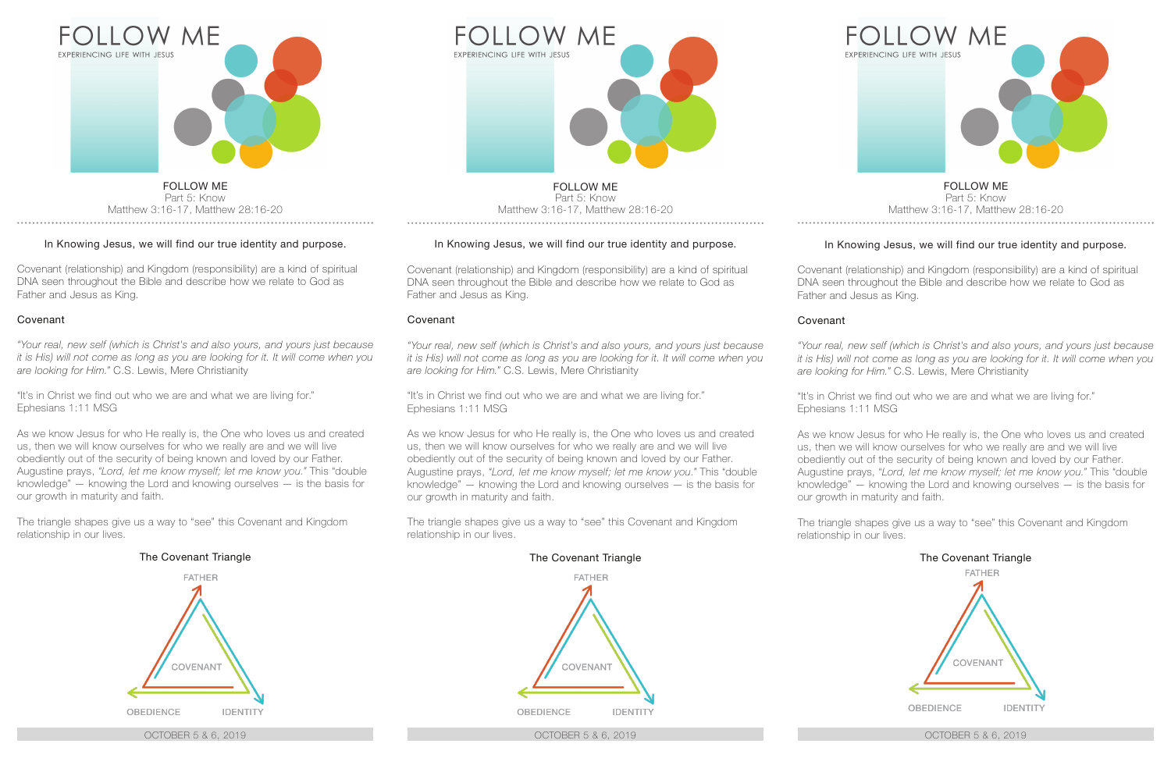

#### In Knowing Jesus, we will find our true identity and purpose.

Covenant (relationship) and Kingdom (responsibility) are a kind of spiritual DNA seen throughout the Bible and describe how we relate to God as Father and Jesus as King.

#### Covenant

*"Your real, new self (which is Christ's and also yours, and yours just because it is His) will not come as long as you are looking for it. It will come when you are looking for Him."* C.S. Lewis, Mere Christianity

"It's in Christ we find out who we are and what we are living for." Ephesians 1:11 MSG

As we know Jesus for who He really is, the One who loves us and created us, then we will know ourselves for who we really are and we will live obediently out of the security of being known and loved by our Father. Augustine prays, *"Lord, let me know myself; let me know you."* This "double knowledge" — knowing the Lord and knowing ourselves — is the basis for our growth in maturity and faith.

The triangle shapes give us a way to "see" this Covenant and Kingdom relationship in our lives.